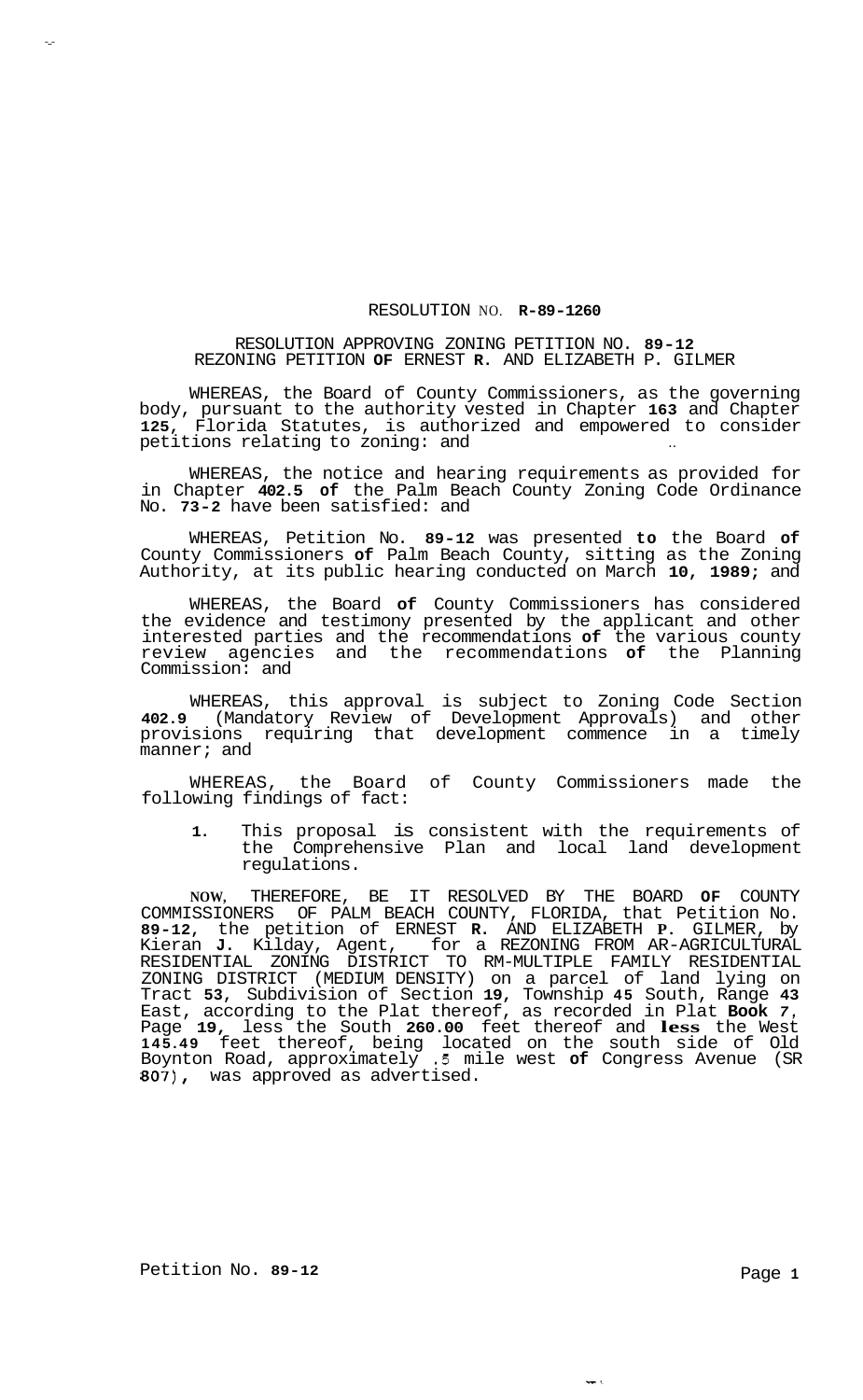## RESOLUTION NO. **R-89-1260**

## RESOLUTION APPROVING ZONING PETITION NO. **89-12**  REZONING PETITION **OF** ERNEST **R.** AND ELIZABETH P. GILMER

WHEREAS, the Board of County Commissioners, as the governing body, pursuant to the authority vested in Chapter **163** and Chapter **125,** Florida Statutes, is authorized and empowered to consider petitions relating to zoning: and

WHEREAS, the notice and hearing requirements as provided for in Chapter **402.5 of** the Palm Beach County Zoning Code Ordinance No. **73-2** have been satisfied: and

WHEREAS, Petition No. **89-12** was presented **to** the Board **of**  County Commissioners **of** Palm Beach County, sitting as the Zoning Authority, at its public hearing conducted on March **10, 1989;** and

WHEREAS, the Board **of** County Commissioners has considered the evidence and testimony presented by the applicant and other interested parties and the recommendations **of** the various county review agencies and the recommendations **of** the Planning Commission: and

WHEREAS, this approval is subject to Zoning Code Section **402.9** (Mandatory Review of Development Approvals) and other provisions requiring that development commence in a timely manner; and

WHEREAS, the Board of County Commissioners made the following findings of fact:

**1.** This proposal is consistent with the requirements of the Comprehensive Plan and local land development regulations.

**NOW,** THEREFORE, BE IT RESOLVED BY THE BOARD **OF** COUNTY COMMISSIONERS OF PALM BEACH COUNTY, FLORIDA, that Petition No. **89-12,** the petition of ERNEST **R.** AND ELIZABETH **P.** GILMER, by Kieran **J.** Kilday, Agent, for a REZONING FROM AR-AGRICULTURAL RESIDENTIAL ZONING DISTRICT TO RM-MULTIPLE FAMILY RESIDENTIAL ZONING DISTRICT (MEDIUM DENSITY) on a parcel of land lying on Tract **53,** Subdivision of Section **19,** Township **45** South, Range **43**  East, according to the Plat thereof, as recorded in Plat **Book** *7,*  Page **19,** less the South **260.00** feet thereof and **less** the West **145.49** feet thereof, being located on the south side of Old Boynton Road, approximately *.5* mile west **of** Congress Avenue (SR **807),** was approved as advertised.

-..-